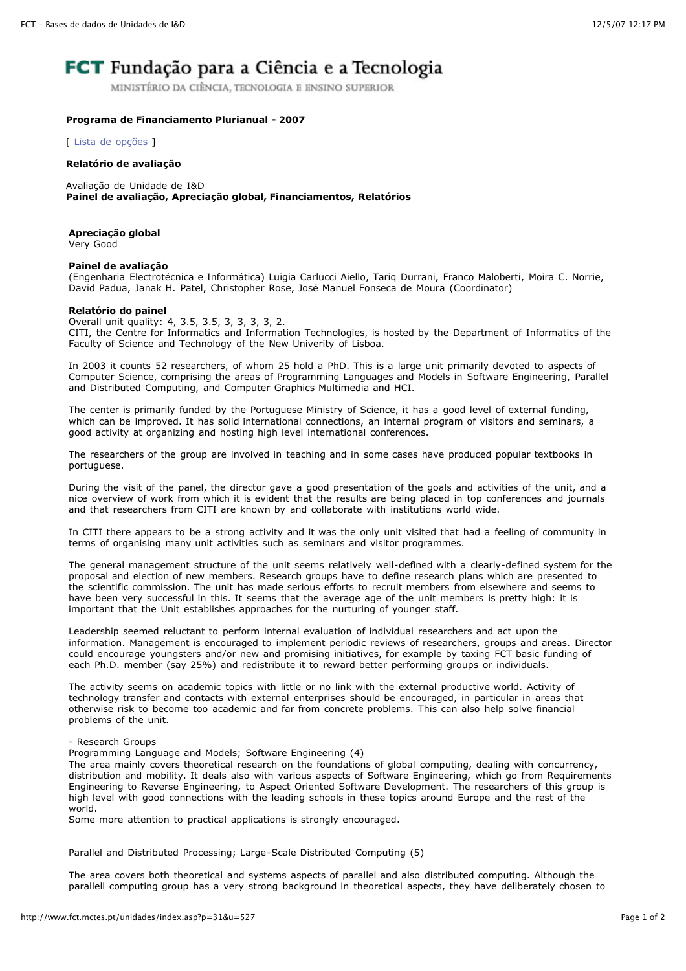# **FCT** Fundação para a Ciência e a Tecnologia

MINISTÉRIO DA CIÊNCIA, TECNOLOGIA E ENSINO SUPERIOR

### **Programa de Financiamento Plurianual - 2007**

[ Lista de [opções](http://www.fct.mctes.pt/unidades/index.asp) ]

#### **Relatório de avaliação**

Avaliação de Unidade de I&D **Painel de avaliação, Apreciação global, Financiamentos, Relatórios**

## **Apreciação global**

Very Good

#### **Painel de avaliação**

(Engenharia Electrotécnica e Informática) Luigia Carlucci Aiello, Tariq Durrani, Franco Maloberti, Moira C. Norrie, David Padua, Janak H. Patel, Christopher Rose, José Manuel Fonseca de Moura (Coordinator)

#### **Relatório do painel**

Overall unit quality: 4, 3.5, 3.5, 3, 3, 3, 3, 2. CITI, the Centre for Informatics and Information Technologies, is hosted by the Department of Informatics of the Faculty of Science and Technology of the New Univerity of Lisboa.

In 2003 it counts 52 researchers, of whom 25 hold a PhD. This is a large unit primarily devoted to aspects of Computer Science, comprising the areas of Programming Languages and Models in Software Engineering, Parallel and Distributed Computing, and Computer Graphics Multimedia and HCI.

The center is primarily funded by the Portuguese Ministry of Science, it has a good level of external funding, which can be improved. It has solid international connections, an internal program of visitors and seminars, a good activity at organizing and hosting high level international conferences.

The researchers of the group are involved in teaching and in some cases have produced popular textbooks in portuguese.

During the visit of the panel, the director gave a good presentation of the goals and activities of the unit, and a nice overview of work from which it is evident that the results are being placed in top conferences and journals and that researchers from CITI are known by and collaborate with institutions world wide.

In CITI there appears to be a strong activity and it was the only unit visited that had a feeling of community in terms of organising many unit activities such as seminars and visitor programmes.

The general management structure of the unit seems relatively well-defined with a clearly-defined system for the proposal and election of new members. Research groups have to define research plans which are presented to the scientific commission. The unit has made serious efforts to recruit members from elsewhere and seems to have been very successful in this. It seems that the average age of the unit members is pretty high: it is important that the Unit establishes approaches for the nurturing of younger staff.

Leadership seemed reluctant to perform internal evaluation of individual researchers and act upon the information. Management is encouraged to implement periodic reviews of researchers, groups and areas. Director could encourage youngsters and/or new and promising initiatives, for example by taxing FCT basic funding of each Ph.D. member (say 25%) and redistribute it to reward better performing groups or individuals.

The activity seems on academic topics with little or no link with the external productive world. Activity of technology transfer and contacts with external enterprises should be encouraged, in particular in areas that otherwise risk to become too academic and far from concrete problems. This can also help solve financial problems of the unit.

## - Research Groups

Programming Language and Models; Software Engineering (4)

The area mainly covers theoretical research on the foundations of global computing, dealing with concurrency, distribution and mobility. It deals also with various aspects of Software Engineering, which go from Requirements Engineering to Reverse Engineering, to Aspect Oriented Software Development. The researchers of this group is high level with good connections with the leading schools in these topics around Europe and the rest of the world.

Some more attention to practical applications is strongly encouraged.

Parallel and Distributed Processing; Large-Scale Distributed Computing (5)

The area covers both theoretical and systems aspects of parallel and also distributed computing. Although the parallell computing group has a very strong background in theoretical aspects, they have deliberately chosen to